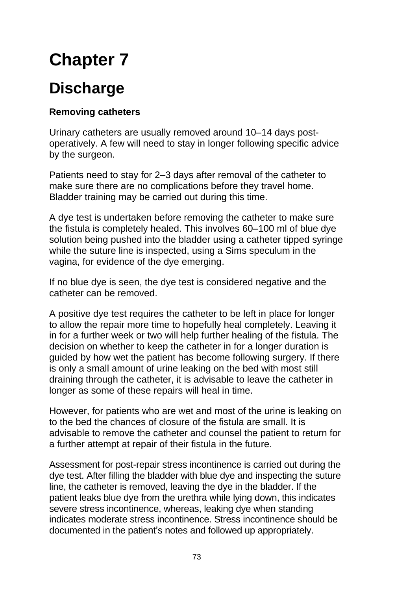# **Chapter 7**

# **Discharge**

## **Removing catheters**

Urinary catheters are usually removed around 10–14 days postoperatively. A few will need to stay in longer following specific advice by the surgeon.

Patients need to stay for 2–3 days after removal of the catheter to make sure there are no complications before they travel home. Bladder training may be carried out during this time.

A dye test is undertaken before removing the catheter to make sure the fistula is completely healed. This involves 60–100 ml of blue dye solution being pushed into the bladder using a catheter tipped syringe while the suture line is inspected, using a Sims speculum in the vagina, for evidence of the dye emerging.

If no blue dye is seen, the dye test is considered negative and the catheter can be removed.

A positive dye test requires the catheter to be left in place for longer to allow the repair more time to hopefully heal completely. Leaving it in for a further week or two will help further healing of the fistula. The decision on whether to keep the catheter in for a longer duration is guided by how wet the patient has become following surgery. If there is only a small amount of urine leaking on the bed with most still draining through the catheter, it is advisable to leave the catheter in longer as some of these repairs will heal in time.

However, for patients who are wet and most of the urine is leaking on to the bed the chances of closure of the fistula are small. It is advisable to remove the catheter and counsel the patient to return for a further attempt at repair of their fistula in the future.

Assessment for post-repair stress incontinence is carried out during the dye test. After filling the bladder with blue dye and inspecting the suture line, the catheter is removed, leaving the dye in the bladder. If the patient leaks blue dye from the urethra while lying down, this indicates severe stress incontinence, whereas, leaking dye when standing indicates moderate stress incontinence. Stress incontinence should be documented in the patient's notes and followed up appropriately.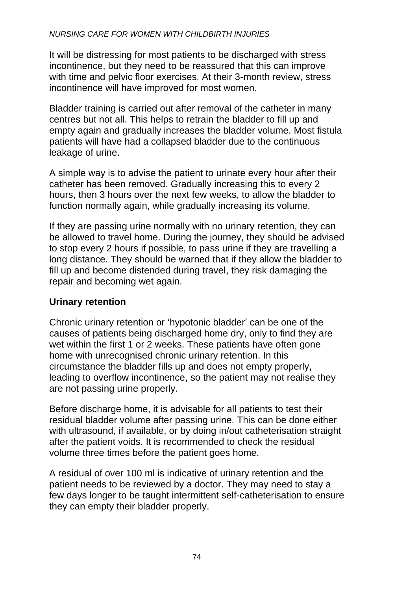#### *NURSING CARE FOR WOMEN WITH CHILDBIRTH INJURIES*

It will be distressing for most patients to be discharged with stress incontinence, but they need to be reassured that this can improve with time and pelvic floor exercises. At their 3-month review, stress incontinence will have improved for most women.

Bladder training is carried out after removal of the catheter in many centres but not all. This helps to retrain the bladder to fill up and empty again and gradually increases the bladder volume. Most fistula patients will have had a collapsed bladder due to the continuous leakage of urine.

A simple way is to advise the patient to urinate every hour after their catheter has been removed. Gradually increasing this to every 2 hours, then 3 hours over the next few weeks, to allow the bladder to function normally again, while gradually increasing its volume.

If they are passing urine normally with no urinary retention, they can be allowed to travel home. During the journey, they should be advised to stop every 2 hours if possible, to pass urine if they are travelling a long distance. They should be warned that if they allow the bladder to fill up and become distended during travel, they risk damaging the repair and becoming wet again.

#### **Urinary retention**

Chronic urinary retention or 'hypotonic bladder' can be one of the causes of patients being discharged home dry, only to find they are wet within the first 1 or 2 weeks. These patients have often gone home with unrecognised chronic urinary retention. In this circumstance the bladder fills up and does not empty properly, leading to overflow incontinence, so the patient may not realise they are not passing urine properly.

Before discharge home, it is advisable for all patients to test their residual bladder volume after passing urine. This can be done either with ultrasound, if available, or by doing in/out catheterisation straight after the patient voids. It is recommended to check the residual volume three times before the patient goes home.

A residual of over 100 ml is indicative of urinary retention and the patient needs to be reviewed by a doctor. They may need to stay a few days longer to be taught intermittent self-catheterisation to ensure they can empty their bladder properly.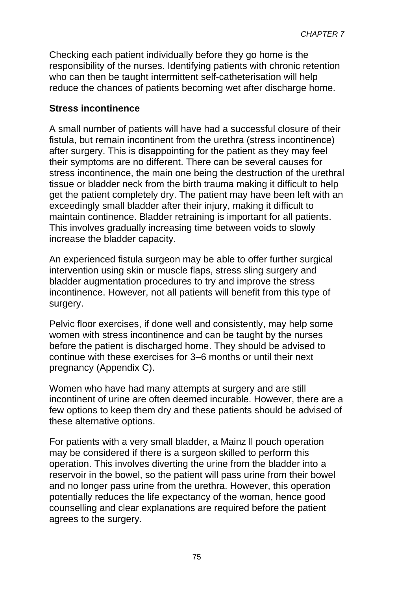Checking each patient individually before they go home is the responsibility of the nurses. Identifying patients with chronic retention who can then be taught intermittent self-catheterisation will help reduce the chances of patients becoming wet after discharge home.

#### **Stress incontinence**

A small number of patients will have had a successful closure of their fistula, but remain incontinent from the urethra (stress incontinence) after surgery. This is disappointing for the patient as they may feel their symptoms are no different. There can be several causes for stress incontinence, the main one being the destruction of the urethral tissue or bladder neck from the birth trauma making it difficult to help get the patient completely dry. The patient may have been left with an exceedingly small bladder after their injury, making it difficult to maintain continence. Bladder retraining is important for all patients. This involves gradually increasing time between voids to slowly increase the bladder capacity.

An experienced fistula surgeon may be able to offer further surgical intervention using skin or muscle flaps, stress sling surgery and bladder augmentation procedures to try and improve the stress incontinence. However, not all patients will benefit from this type of surgery.

Pelvic floor exercises, if done well and consistently, may help some women with stress incontinence and can be taught by the nurses before the patient is discharged home. They should be advised to continue with these exercises for 3–6 months or until their next pregnancy (Appendix C).

Women who have had many attempts at surgery and are still incontinent of urine are often deemed incurable. However, there are a few options to keep them dry and these patients should be advised of these alternative options.

For patients with a very small bladder, a Mainz ll pouch operation may be considered if there is a surgeon skilled to perform this operation. This involves diverting the urine from the bladder into a reservoir in the bowel, so the patient will pass urine from their bowel and no longer pass urine from the urethra. However, this operation potentially reduces the life expectancy of the woman, hence good counselling and clear explanations are required before the patient agrees to the surgery.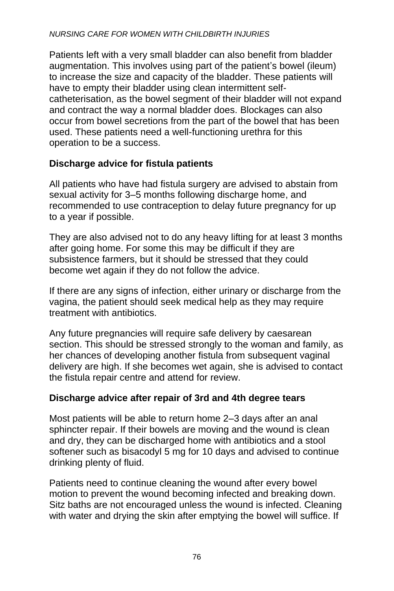Patients left with a very small bladder can also benefit from bladder augmentation. This involves using part of the patient's bowel (ileum) to increase the size and capacity of the bladder. These patients will have to empty their bladder using clean intermittent selfcatheterisation, as the bowel segment of their bladder will not expand and contract the way a normal bladder does. Blockages can also occur from bowel secretions from the part of the bowel that has been used. These patients need a well-functioning urethra for this operation to be a success.

### **Discharge advice for fistula patients**

All patients who have had fistula surgery are advised to abstain from sexual activity for 3–5 months following discharge home, and recommended to use contraception to delay future pregnancy for up to a year if possible.

They are also advised not to do any heavy lifting for at least 3 months after going home. For some this may be difficult if they are subsistence farmers, but it should be stressed that they could become wet again if they do not follow the advice.

If there are any signs of infection, either urinary or discharge from the vagina, the patient should seek medical help as they may require treatment with antibiotics.

Any future pregnancies will require safe delivery by caesarean section. This should be stressed strongly to the woman and family, as her chances of developing another fistula from subsequent vaginal delivery are high. If she becomes wet again, she is advised to contact the fistula repair centre and attend for review.

#### **Discharge advice after repair of 3rd and 4th degree tears**

Most patients will be able to return home 2–3 days after an anal sphincter repair. If their bowels are moving and the wound is clean and dry, they can be discharged home with antibiotics and a stool softener such as bisacodyl 5 mg for 10 days and advised to continue drinking plenty of fluid.

Patients need to continue cleaning the wound after every bowel motion to prevent the wound becoming infected and breaking down. Sitz baths are not encouraged unless the wound is infected. Cleaning with water and drying the skin after emptying the bowel will suffice. If